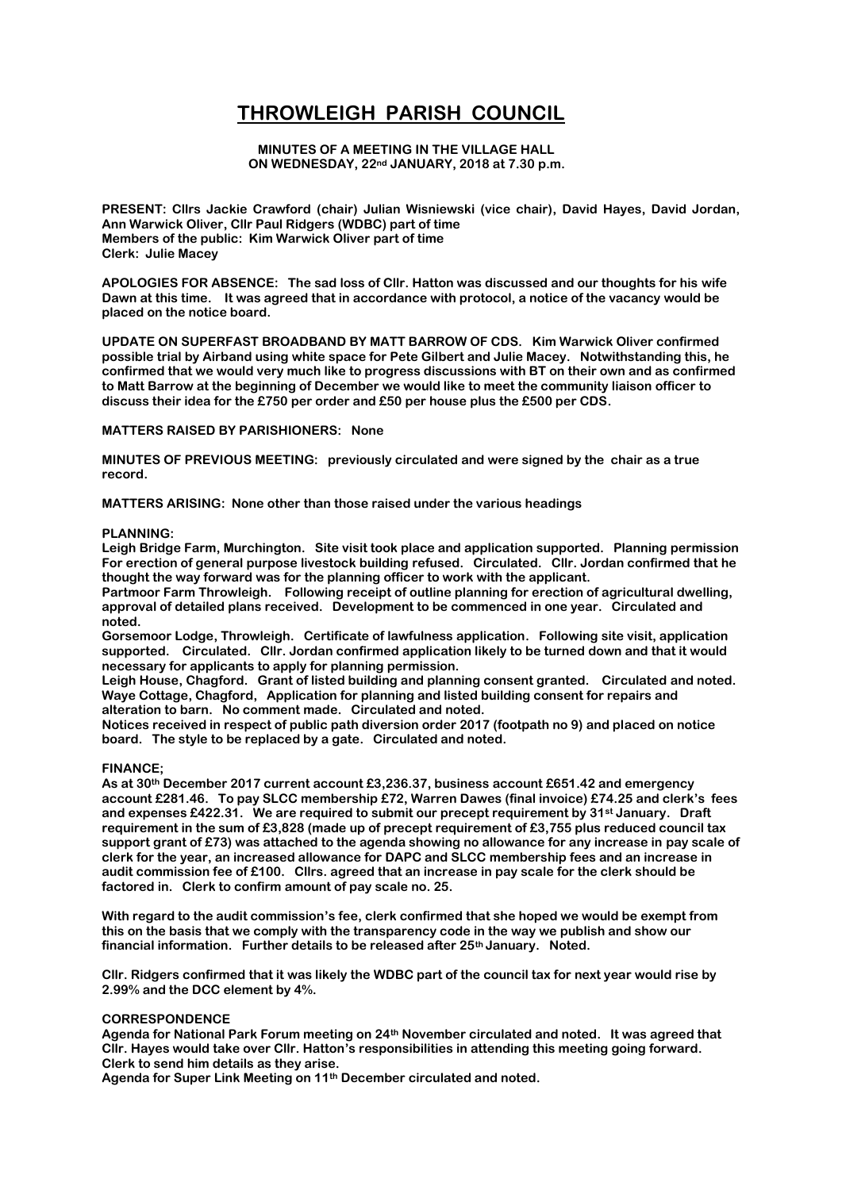# **THROWLEIGH PARISH COUNCIL**

### **MINUTES OF A MEETING IN THE VILLAGE HALL ON WEDNESDAY, 22nd JANUARY, 2018 at 7.30 p.m.**

**PRESENT: Cllrs Jackie Crawford (chair) Julian Wisniewski (vice chair), David Hayes, David Jordan, Ann Warwick Oliver, Cllr Paul Ridgers (WDBC) part of time Members of the public: Kim Warwick Oliver part of time Clerk: Julie Macey**

**APOLOGIES FOR ABSENCE: The sad loss of Cllr. Hatton was discussed and our thoughts for his wife Dawn at this time. It was agreed that in accordance with protocol, a notice of the vacancy would be placed on the notice board.**

**UPDATE ON SUPERFAST BROADBAND BY MATT BARROW OF CDS. Kim Warwick Oliver confirmed possible trial by Airband using white space for Pete Gilbert and Julie Macey. Notwithstanding this, he confirmed that we would very much like to progress discussions with BT on their own and as confirmed to Matt Barrow at the beginning of December we would like to meet the community liaison officer to discuss their idea for the £750 per order and £50 per house plus the £500 per CDS.**

**MATTERS RAISED BY PARISHIONERS: None**

**MINUTES OF PREVIOUS MEETING: previously circulated and were signed by the chair as a true record.** 

**MATTERS ARISING: None other than those raised under the various headings**

#### **PLANNING:**

**Leigh Bridge Farm, Murchington. Site visit took place and application supported. Planning permission For erection of general purpose livestock building refused. Circulated. Cllr. Jordan confirmed that he thought the way forward was for the planning officer to work with the applicant.**

**Partmoor Farm Throwleigh. Following receipt of outline planning for erection of agricultural dwelling, approval of detailed plans received. Development to be commenced in one year. Circulated and noted.**

**Gorsemoor Lodge, Throwleigh. Certificate of lawfulness application. Following site visit, application supported. Circulated. Cllr. Jordan confirmed application likely to be turned down and that it would necessary for applicants to apply for planning permission.**

**Leigh House, Chagford. Grant of listed building and planning consent granted. Circulated and noted. Waye Cottage, Chagford, Application for planning and listed building consent for repairs and alteration to barn. No comment made. Circulated and noted.**

**Notices received in respect of public path diversion order 2017 (footpath no 9) and placed on notice board. The style to be replaced by a gate. Circulated and noted.**

# **FINANCE;**

**As at 30th December 2017 current account £3,236.37, business account £651.42 and emergency account £281.46. To pay SLCC membership £72, Warren Dawes (final invoice) £74.25 and clerk's fees and expenses £422.31. We are required to submit our precept requirement by 31st January. Draft requirement in the sum of £3,828 (made up of precept requirement of £3,755 plus reduced council tax support grant of £73) was attached to the agenda showing no allowance for any increase in pay scale of clerk for the year, an increased allowance for DAPC and SLCC membership fees and an increase in audit commission fee of £100. Cllrs. agreed that an increase in pay scale for the clerk should be factored in. Clerk to confirm amount of pay scale no. 25.**

**With regard to the audit commission's fee, clerk confirmed that she hoped we would be exempt from this on the basis that we comply with the transparency code in the way we publish and show our financial information. Further details to be released after 25th January. Noted.**

**Cllr. Ridgers confirmed that it was likely the WDBC part of the council tax for next year would rise by 2.99% and the DCC element by 4%.**

# **CORRESPONDENCE**

**Agenda for National Park Forum meeting on 24th November circulated and noted. It was agreed that Cllr. Hayes would take over Cllr. Hatton's responsibilities in attending this meeting going forward. Clerk to send him details as they arise.**

**Agenda for Super Link Meeting on 11th December circulated and noted.**